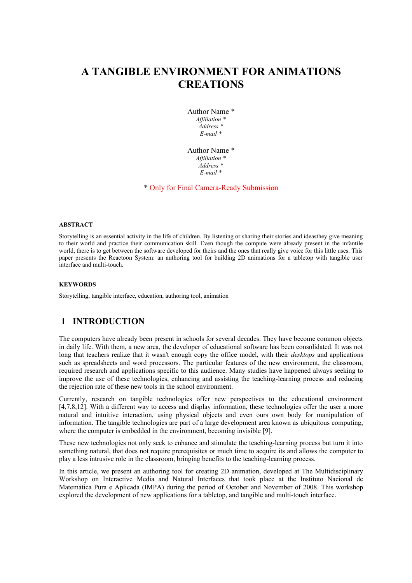# **A TANGIBLE ENVIRONMENT FOR ANIMATIONS CREATIONS**

Author Name \* *Affiliation \* Address \* E-mail \**

Author Name \* *Affiliation \* Address \* E-mail \**

\* Only for Final Camera-Ready Submission

#### **ABSTRACT**

Storytelling is an essential activity in the life of children. By listening or sharing their stories and ideasthey give meaning to their world and practice their communication skill. Even though the compute were already present in the infantile world, there is to get between the software developed for theirs and the ones that really give voice for this little uses. This paper presents the Reactoon System: an authoring tool for building 2D animations for a tabletop with tangible user interface and multi-touch.

#### **KEYWORDS**

Storytelling, tangible interface, education, authoring tool, animation

### **1 INTRODUCTION**

The computers have already been present in schools for several decades. They have become common objects in daily life. With them, a new area, the developer of educational software has been consolidated. It was not long that teachers realize that it wasn't enough copy the office model, with their *desktops* and applications such as spreadsheets and word processors. The particular features of the new environment, the classroom, required research and applications specific to this audience. Many studies have happened always seeking to improve the use of these technologies, enhancing and assisting the teaching-learning process and reducing the rejection rate of these new tools in the school environment.

Currently, research on tangible technologies offer new perspectives to the educational environment [4,7,8,12]. With a different way to access and display information, these technologies offer the user a more natural and intuitive interaction, using physical objects and even ours own body for manipulation of information. The tangible technologies are part of a large development area known as ubiquitous computing, where the computer is embedded in the environment, becoming invisible [9].

These new technologies not only seek to enhance and stimulate the teaching-learning process but turn it into something natural, that does not require prerequisites or much time to acquire its and allows the computer to play a less intrusive role in the classroom, bringing benefits to the teaching-learning process.

In this article, we present an authoring tool for creating 2D animation, developed at The Multidisciplinary Workshop on Interactive Media and Natural Interfaces that took place at the Instituto Nacional de Matemática Pura e Aplicada (IMPA) during the period of October and November of 2008. This workshop explored the development of new applications for a tabletop, and tangible and multi-touch interface.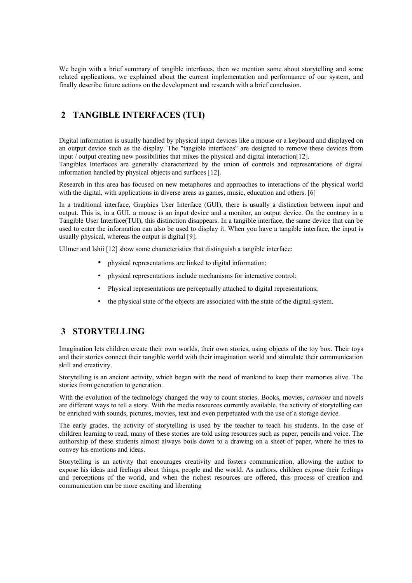We begin with a brief summary of tangible interfaces, then we mention some about storytelling and some related applications, we explained about the current implementation and performance of our system, and finally describe future actions on the development and research with a brief conclusion.

### **2 TANGIBLE INTERFACES (TUI)**

Digital information is usually handled by physical input devices like a mouse or a keyboard and displayed on an output device such as the display. The "tangible interfaces" are designed to remove these devices from input / output creating new possibilities that mixes the physical and digital interaction[12].

Tangibles Interfaces are generally characterized by the union of controls and representations of digital information handled by physical objects and surfaces [12].

Research in this area has focused on new metaphores and approaches to interactions of the physical world with the digital, with applications in diverse areas as games, music, education and others. [6]

In a traditional interface, Graphics User Interface (GUI), there is usually a distinction between input and output. This is, in a GUI, a mouse is an input device and a monitor, an output device. On the contrary in a Tangible User Interface(TUI), this distinction disappears. In a tangible interface, the same device that can be used to enter the information can also be used to display it. When you have a tangible interface, the input is usually physical, whereas the output is digital [9].

Ullmer and Ishii [12] show some characteristics that distinguish a tangible interface:

- physical representations are linked to digital information;
- physical representations include mechanisms for interactive control;
- Physical representations are perceptually attached to digital representations;
- the physical state of the objects are associated with the state of the digital system.

## **3 STORYTELLING**

Imagination lets children create their own worlds, their own stories, using objects of the toy box. Their toys and their stories connect their tangible world with their imagination world and stimulate their communication skill and creativity.

Storytelling is an ancient activity, which began with the need of mankind to keep their memories alive. The stories from generation to generation.

With the evolution of the technology changed the way to count stories. Books, movies, *cartoons* and novels are different ways to tell a story. With the media resources currently available, the activity of storytelling can be enriched with sounds, pictures, movies, text and even perpetuated with the use of a storage device.

The early grades, the activity of storytelling is used by the teacher to teach his students. In the case of children learning to read, many of these stories are told using resources such as paper, pencils and voice. The authorship of these students almost always boils down to a drawing on a sheet of paper, where he tries to convey his emotions and ideas.

Storytelling is an activity that encourages creativity and fosters communication, allowing the author to expose his ideas and feelings about things, people and the world. As authors, children expose their feelings and perceptions of the world, and when the richest resources are offered, this process of creation and communication can be more exciting and liberating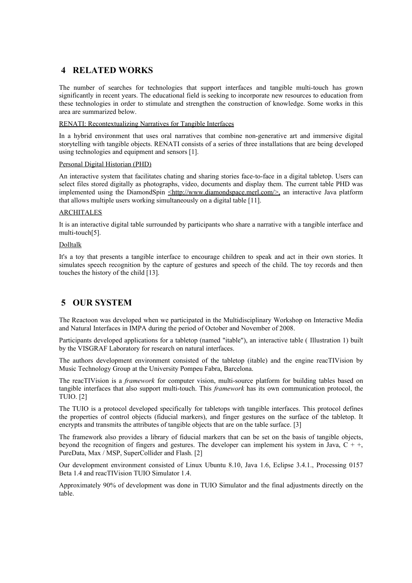# **4 RELATED WORKS**

The number of searches for technologies that support interfaces and tangible multi-touch has grown significantly in recent years. The educational field is seeking to incorporate new resources to education from these technologies in order to stimulate and strengthen the construction of knowledge. Some works in this area are summarized below.

#### RENATI: Recontextualizing Narratives for Tangible Interfaces

In a hybrid environment that uses oral narratives that combine non-generative art and immersive digital storytelling with tangible objects. RENATI consists of a series of three installations that are being developed using technologies and equipment and sensors [1].

#### Personal Digital Historian (PHD)

An interactive system that facilitates chating and sharing stories face-to-face in a digital tabletop. Users can select files stored digitally as photographs, video, documents and display them. The current table PHD was implemented using the DiamondSpin  $\leq$ http://www.diamondspace.merl.com/>, an interactive Java platform that allows multiple users working simultaneously on a digital table [11].

#### ARCHITALES

It is an interactive digital table surrounded by participants who share a narrative with a tangible interface and multi-touch[5].

#### Dolltalk

It's a toy that presents a tangible interface to encourage children to speak and act in their own stories. It simulates speech recognition by the capture of gestures and speech of the child. The toy records and then touches the history of the child [13].

# **5 OUR SYSTEM**

The Reactoon was developed when we participated in the Multidisciplinary Workshop on Interactive Media and Natural Interfaces in IMPA during the period of October and November of 2008.

Participants developed applications for a tabletop (named "itable"), an interactive table ( [Illustration 1\)](#page-3-0) built by the VISGRAF Laboratory for research on natural interfaces.

The authors development environment consisted of the tabletop (itable) and the engine reacTIVision by Music Technology Group at the University Pompeu Fabra, Barcelona.

The reacTIVision is a *framework* for computer vision, multi-source platform for building tables based on tangible interfaces that also support multi-touch. This *framework* has its own communication protocol, the TUIO. [2]

The TUIO is a protocol developed specifically for tabletops with tangible interfaces. This protocol defines the properties of control objects (fiducial markers), and finger gestures on the surface of the tabletop. It encrypts and transmits the attributes of tangible objects that are on the table surface. [3]

The framework also provides a library of fiducial markers that can be set on the basis of tangible objects, beyond the recognition of fingers and gestures. The developer can implement his system in Java,  $C + +$ , PureData, Max / MSP, SuperCollider and Flash. [2]

Our development environment consisted of Linux Ubuntu 8.10, Java 1.6, Eclipse 3.4.1., Processing 0157 Beta 1.4 and reacTIVision TUIO Simulator 1.4.

Approximately 90% of development was done in TUIO Simulator and the final adjustments directly on the table.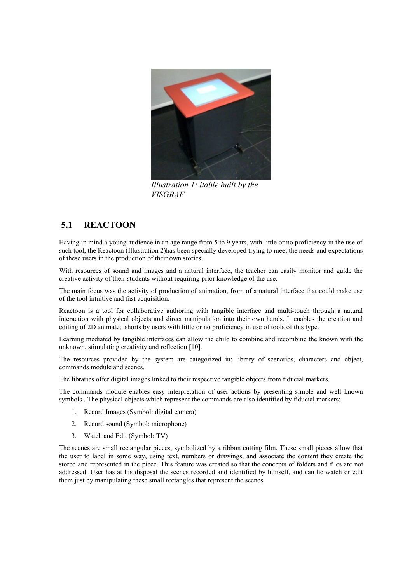<span id="page-3-0"></span>

*Illustration 1: itable built by the VISGRAF*

# **5.1 REACTOON**

Having in mind a young audience in an age range from 5 to 9 years, with little or no proficiency in the use of such tool, the Reactoon [\(Illustration 2\)](#page-4-0)has been specially developed trying to meet the needs and expectations of these users in the production of their own stories.

With resources of sound and images and a natural interface, the teacher can easily monitor and guide the creative activity of their students without requiring prior knowledge of the use.

The main focus was the activity of production of animation, from of a natural interface that could make use of the tool intuitive and fast acquisition.

Reactoon is a tool for collaborative authoring with tangible interface and multi-touch through a natural interaction with physical objects and direct manipulation into their own hands. It enables the creation and editing of 2D animated shorts by users with little or no proficiency in use of tools of this type.

Learning mediated by tangible interfaces can allow the child to combine and recombine the known with the unknown, stimulating creativity and reflection [10].

The resources provided by the system are categorized in: library of scenarios, characters and object, commands module and scenes.

The libraries offer digital images linked to their respective tangible objects from fiducial markers.

The commands module enables easy interpretation of user actions by presenting simple and well known symbols . The physical objects which represent the commands are also identified by fiducial markers:

- 1. Record Images (Symbol: digital camera)
- 2. Record sound (Symbol: microphone)
- 3. Watch and Edit (Symbol: TV)

The scenes are small rectangular pieces, symbolized by a ribbon cutting film. These small pieces allow that the user to label in some way, using text, numbers or drawings, and associate the content they create the stored and represented in the piece. This feature was created so that the concepts of folders and files are not addressed. User has at his disposal the scenes recorded and identified by himself, and can he watch or edit them just by manipulating these small rectangles that represent the scenes.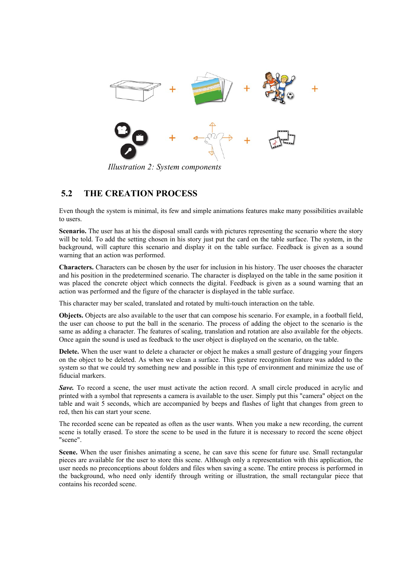

<span id="page-4-0"></span>*Illustration 2: System components*

### **5.2 THE CREATION PROCESS**

Even though the system is minimal, its few and simple animations features make many possibilities available to users.

**Scenario.** The user has at his the disposal small cards with pictures representing the scenario where the story will be told. To add the setting chosen in his story just put the card on the table surface. The system, in the background, will capture this scenario and display it on the table surface. Feedback is given as a sound warning that an action was performed.

**Characters.** Characters can be chosen by the user for inclusion in his history. The user chooses the character and his position in the predetermined scenario. The character is displayed on the table in the same position it was placed the concrete object which connects the digital. Feedback is given as a sound warning that an action was performed and the figure of the character is displayed in the table surface.

This character may ber scaled, translated and rotated by multi-touch interaction on the table.

**Objects.** Objects are also available to the user that can compose his scenario. For example, in a football field, the user can choose to put the ball in the scenario. The process of adding the object to the scenario is the same as adding a character. The features of scaling, translation and rotation are also available for the objects. Once again the sound is used as feedback to the user object is displayed on the scenario, on the table.

**Delete.** When the user want to delete a character or object he makes a small gesture of dragging your fingers on the object to be deleted. As when we clean a surface. This gesture recognition feature was added to the system so that we could try something new and possible in this type of environment and minimize the use of fiducial markers.

**Save.** To record a scene, the user must activate the action record. A small circle produced in acrylic and printed with a symbol that represents a camera is available to the user. Simply put this "camera" object on the table and wait 5 seconds, which are accompanied by beeps and flashes of light that changes from green to red, then his can start your scene.

The recorded scene can be repeated as often as the user wants. When you make a new recording, the current scene is totally erased. To store the scene to be used in the future it is necessary to record the scene object "scene".

Scene. When the user finishes animating a scene, he can save this scene for future use. Small rectangular pieces are available for the user to store this scene. Although only a representation with this application, the user needs no preconceptions about folders and files when saving a scene. The entire process is performed in the background, who need only identify through writing or illustration, the small rectangular piece that contains his recorded scene.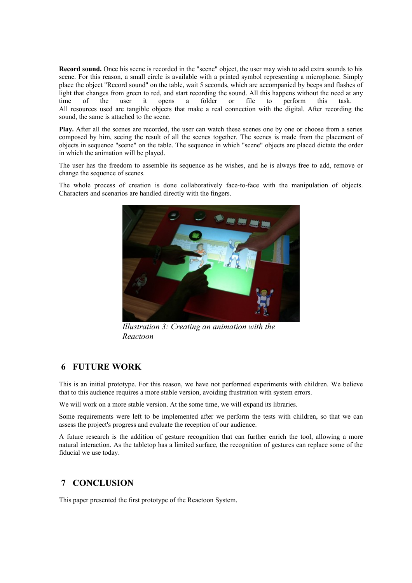**Record sound.** Once his scene is recorded in the "scene" object, the user may wish to add extra sounds to his scene. For this reason, a small circle is available with a printed symbol representing a microphone. Simply place the object "Record sound" on the table, wait 5 seconds, which are accompanied by beeps and flashes of light that changes from green to red, and start recording the sound. All this happens without the need at any time of the user it opens a folder or file to perform this task. All resources used are tangible objects that make a real connection with the digital. After recording the sound, the same is attached to the scene.

**Play.** After all the scenes are recorded, the user can watch these scenes one by one or choose from a series composed by him, seeing the result of all the scenes together. The scenes is made from the placement of objects in sequence "scene" on the table. The sequence in which "scene" objects are placed dictate the order in which the animation will be played.

The user has the freedom to assemble its sequence as he wishes, and he is always free to add, remove or change the sequence of scenes.

The whole process of creation is done collaboratively face-to-face with the manipulation of objects. Characters and scenarios are handled directly with the fingers.



*Illustration 3: Creating an animation with the Reactoon* 

### **6 FUTURE WORK**

This is an initial prototype. For this reason, we have not performed experiments with children. We believe that to this audience requires a more stable version, avoiding frustration with system errors.

We will work on a more stable version. At the some time, we will expand its libraries.

Some requirements were left to be implemented after we perform the tests with children, so that we can assess the project's progress and evaluate the reception of our audience.

A future research is the addition of gesture recognition that can further enrich the tool, allowing a more natural interaction. As the tabletop has a limited surface, the recognition of gestures can replace some of the fiducial we use today.

## **7 CONCLUSION**

This paper presented the first prototype of the Reactoon System.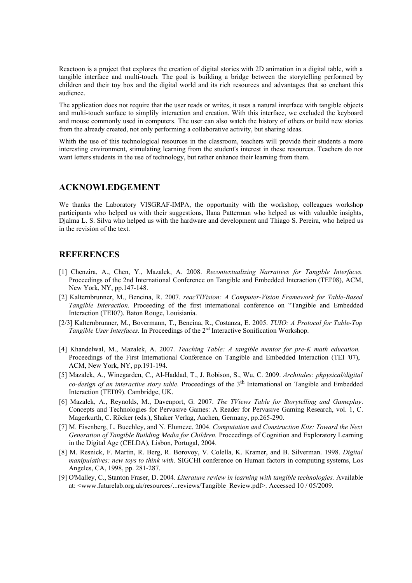Reactoon is a project that explores the creation of digital stories with 2D animation in a digital table, with a tangible interface and multi-touch. The goal is building a bridge between the storytelling performed by children and their toy box and the digital world and its rich resources and advantages that so enchant this audience.

The application does not require that the user reads or writes, it uses a natural interface with tangible objects and multi-touch surface to simplily interaction and creation. With this interface, we excluded the keyboard and mouse commonly used in computers. The user can also watch the history of others or build new stories from the already created, not only performing a collaborative activity, but sharing ideas.

Whith the use of this technological resources in the classroom, teachers will provide their students a more interesting environment, stimulating learning from the student's interest in these resources. Teachers do not want letters students in the use of technology, but rather enhance their learning from them.

### **ACKNOWLEDGEMENT**

We thanks the Laboratory VISGRAF-IMPA, the opportunity with the workshop, colleagues workshop participants who helped us with their suggestions, Ilana Patterman who helped us with valuable insights, Djalma L. S. Silva who helped us with the hardware and development and Thiago S. Pereira, who helped us in the revision of the text.

### **REFERENCES**

- [1] Chenzira, A., Chen, Y., Mazalek, A. 2008. *Recontextualizing Narratives for Tangible Interfaces.* Proceedings of the 2nd International Conference on Tangible and Embedded Interaction (TEI'08), ACM, New York, NY, pp.147-148.
- [2] Kalternbrunner, M., Bencina, R. 2007. *reacTIVision: A Computer-Vision Framework for Table-Based Tangible Interaction.* Proceeding of the first international conference on "Tangible and Embedded Interaction (TEI07). Baton Rouge, Louisiania.
- [2/3] Kalternbrunner, M., Bovermann, T., Bencina, R., Costanza, E. 2005. *TUIO: A Protocol for Table-Top Tangible User Interfaces.* In Proceedings of the 2<sup>nd</sup> Interactive Sonification Workshop.
- [4] Khandelwal, M., Mazalek, A. 2007. *Teaching Table: A tangible mentor for pre-K math education.*  Proceedings of the First International Conference on Tangible and Embedded Interaction (TEI '07), ACM, New York, NY, pp.191-194.
- [5] Mazalek, A., Winegarden, C., Al-Haddad, T., J. Robison, S., Wu, C. 2009. *Architales: phpysical/digital co-design of an interactive story table.* Proceedings of the 3th International on Tangible and Embedded Interaction (TEI'09). Cambridge, UK.
- [6] Mazalek, A., Reynolds, M., Davenport, G. 2007. *The TViews Table for Storytelling and Gameplay*. Concepts and Technologies for Pervasive Games: A Reader for Pervasive Gaming Research, vol. 1, C. Magerkurth, C. Röcker (eds.), Shaker Verlag, Aachen, Germany, pp.265-290.
- [7] M. Eisenberg, L. Buechley, and N. Elumeze. 2004. *Computation and Construction Kits: Toward the Next Generation of Tangible Building Media for Children.* Proceedings of Cognition and Exploratory Learning in the Digital Age (CELDA), Lisbon, Portugal, 2004.
- [8] M. Resnick, F. Martin, R. Berg, R. Borovoy, V. Colella, K. Kramer, and B. Silverman. 1998. *Digital manipulatives: new toys to think with.* SIGCHI conference on Human factors in computing systems, Los Angeles, CA, 1998, pp. 281-287.
- [9] O'Malley, C., Stanton Fraser, D. 2004. *Literature review in learning with tangible technologies.* Available at: <www.futurelab.org.uk/resources/...reviews/Tangible\_Review.pdf>. Accessed 10 / 05/2009.